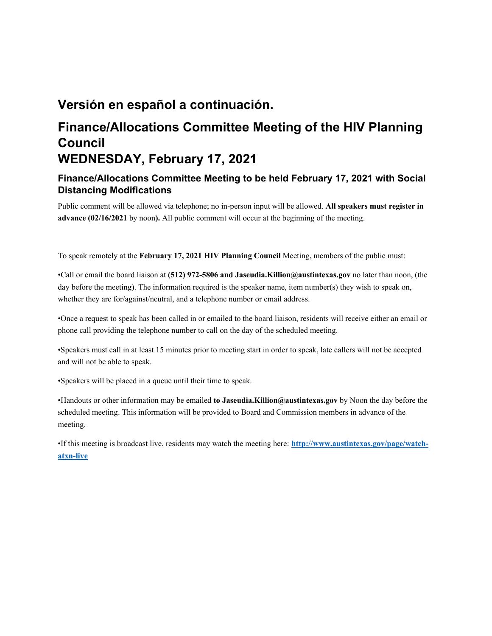## **Versión en español a continuación.**

# **Finance/Allocations Committee Meeting of the HIV Planning Council WEDNESDAY, February 17, 2021**

## **Finance/Allocations Committee Meeting to be held February 17, 2021 with Social Distancing Modifications**

Public comment will be allowed via telephone; no in-person input will be allowed. **All speakers must register in advance (02/16/2021** by noon**).** All public comment will occur at the beginning of the meeting.

To speak remotely at the **February 17, 2021 HIV Planning Council** Meeting, members of the public must:

•Call or email the board liaison at **(512) 972-5806 and Jaseudia.Killion@austintexas.gov** no later than noon, (the day before the meeting). The information required is the speaker name, item number(s) they wish to speak on, whether they are for/against/neutral, and a telephone number or email address.

•Once a request to speak has been called in or emailed to the board liaison, residents will receive either an email or phone call providing the telephone number to call on the day of the scheduled meeting.

•Speakers must call in at least 15 minutes prior to meeting start in order to speak, late callers will not be accepted and will not be able to speak.

•Speakers will be placed in a queue until their time to speak.

•Handouts or other information may be emailed **to Jaseudia.Killion@austintexas.gov** by Noon the day before the scheduled meeting. This information will be provided to Board and Commission members in advance of the meeting.

•If this meeting is broadcast live, residents may watch the meeting here: **http://www.austintexas.gov/page/watchatxn-live**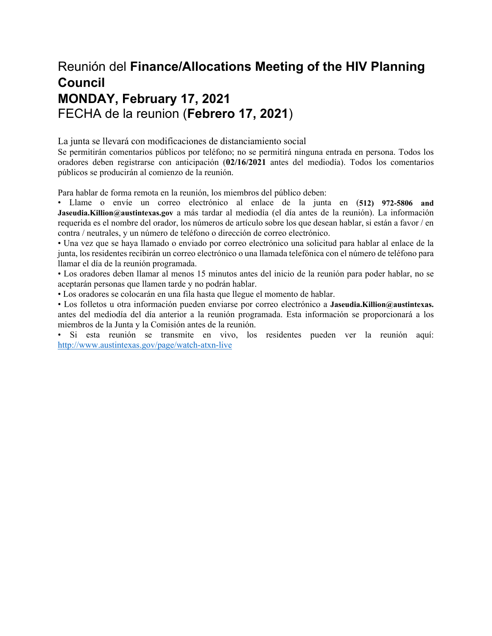# Reunión del **Finance/Allocations Meeting of the HIV Planning Council MONDAY, February 17, 2021**  FECHA de la reunion (**Febrero 17, 2021**)

La junta se llevará con modificaciones de distanciamiento social

Se permitirán comentarios públicos por teléfono; no se permitirá ninguna entrada en persona. Todos los oradores deben registrarse con anticipación (**02/16/2021** antes del mediodía). Todos los comentarios públicos se producirán al comienzo de la reunión.

Para hablar de forma remota en la reunión, los miembros del público deben:

• Llame o envíe un correo electrónico al enlace de la junta en (**512) 972-5806 and Jaseudia.Killion@austintexas.gov** a más tardar al mediodía (el día antes de la reunión). La información requerida es el nombre del orador, los números de artículo sobre los que desean hablar, si están a favor / en contra / neutrales, y un número de teléfono o dirección de correo electrónico.

• Una vez que se haya llamado o enviado por correo electrónico una solicitud para hablar al enlace de la junta, los residentes recibirán un correo electrónico o una llamada telefónica con el número de teléfono para llamar el día de la reunión programada.

• Los oradores deben llamar al menos 15 minutos antes del inicio de la reunión para poder hablar, no se aceptarán personas que llamen tarde y no podrán hablar.

• Los oradores se colocarán en una fila hasta que llegue el momento de hablar.

• Los folletos u otra información pueden enviarse por correo electrónico a **Jaseudia.Killion@austintexas.** antes del mediodía del día anterior a la reunión programada. Esta información se proporcionará a los miembros de la Junta y la Comisión antes de la reunión.

• Si esta reunión se transmite en vivo, los residentes pueden ver la reunión aquí: http://www.austintexas.gov/page/watch-atxn-live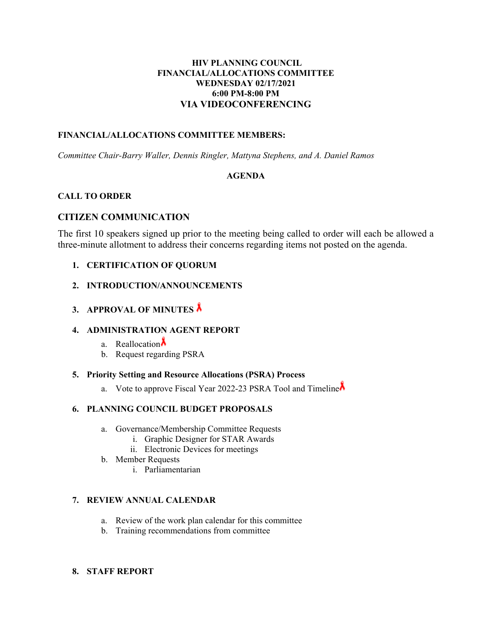## **HIV PLANNING COUNCIL FINANCIAL/ALLOCATIONS COMMITTEE WEDNESDAY 02/17/2021 6:00 PM-8:00 PM VIA VIDEOCONFERENCING**

## **FINANCIAL/ALLOCATIONS COMMITTEE MEMBERS:**

*Committee Chair-Barry Waller, Dennis Ringler, Mattyna Stephens, and A. Daniel Ramos* 

## **AGENDA**

## **CALL TO ORDER**

## **CITIZEN COMMUNICATION**

The first 10 speakers signed up prior to the meeting being called to order will each be allowed a three-minute allotment to address their concerns regarding items not posted on the agenda.

- **1. CERTIFICATION OF QUORUM**
- **2. INTRODUCTION/ANNOUNCEMENTS**
- **3. APPROVAL OF MINUTES**

## **4. ADMINISTRATION AGENT REPORT**

- a. Reallocation $\Lambda$
- b. Request regarding PSRA

## **5. Priority Setting and Resource Allocations (PSRA) Process**

a. Vote to approve Fiscal Year 2022-23 PSRA Tool and Timeline

## **6. PLANNING COUNCIL BUDGET PROPOSALS**

- a. Governance/Membership Committee Requests
	- i. Graphic Designer for STAR Awards
	- ii. Electronic Devices for meetings
- b. Member Requests
	- i. Parliamentarian

## **7. REVIEW ANNUAL CALENDAR**

- a. Review of the work plan calendar for this committee
- b. Training recommendations from committee

### **8. STAFF REPORT**